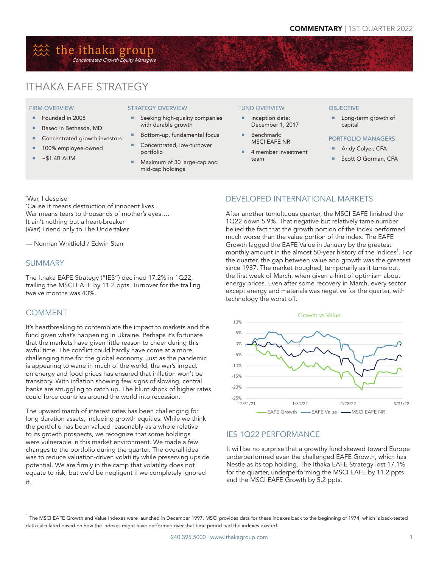# 然 the ithaka group Concentrated Growth Equity Managers

# ITHAKA EAFE STRATEGY

#### FIRM OVERVIEW

- Founded in 2008
- Based in Bethesda, MD
- Concentrated growth investors
- **100% employee-owned**
- $~51.4B$  AUM

#### STRATEGY OVERVIEW

- Seeking high-quality companies with durable growth
- Bottom-up, fundamental focus
- Concentrated, low-turnover portfolio
- Maximum of 30 large-cap and mid-cap holdings

#### FUND OVERVIEW

- **Inception date:** December 1, 2017
- Benchmark: MSCI EAFE NR
- 4 member investment team

#### **OBJECTIVE**

- Long-term growth of capital
- PORTFOLIO MANAGERS
	- Andy Colyer, CFA
- Scott O'Gorman, CFA

`War, I despise

'Cause it means destruction of innocent lives War means tears to thousands of mother's eyes…. It ain't nothing but a heart-breaker (War) Friend only to The Undertaker

— Norman Whitfield / Edwin Starr

### SUMMARY

The Ithaka EAFE Strategy ("IES") declined 17.2% in 1Q22, trailing the MSCI EAFE by 11.2 ppts. Turnover for the trailing twelve months was 40%.

### **COMMENT**

It's heartbreaking to contemplate the impact to markets and the fund given what's happening in Ukraine. Perhaps it's fortunate that the markets have given little reason to cheer during this awful time. The conflict could hardly have come at a more challenging time for the global economy. Just as the pandemic is appearing to wane in much of the world, the war's impact on energy and food prices has ensured that inflation won't be transitory. With inflation showing few signs of slowing, central banks are struggling to catch up. The blunt shock of higher rates could force countries around the world into recession.

The upward march of interest rates has been challenging for long duration assets, including growth equities. While we think the portfolio has been valued reasonably as a whole relative to its growth prospects, we recognize that some holdings were vulnerable in this market environment. We made a few changes to the portfolio during the quarter. The overall idea was to reduce valuation-driven volatility while preserving upside potential. We are firmly in the camp that volatility does not equate to risk, but we'd be negligent if we completely ignored it.

# DEVELOPED INTERNATIONAL MARKETS

After another tumultuous quarter, the MSCI EAFE finished the 1Q22 down 5.9%. That negative but relatively tame number belied the fact that the growth portion of the index performed much worse than the value portion of the index. The EAFE Growth lagged the EAFE Value in January by the greatest monthly amount in the almost 50-year history of the indices<sup>1</sup>. For the quarter, the gap between value and growth was the greatest since 1987. The market troughed, temporarily as it turns out, the first week of March, when given a hint of optimism about energy prices. Even after some recovery in March, every sector except energy and materials was negative for the quarter, with technology the worst off.



### IES 1Q22 PERFORMANCE

It will be no surprise that a growthy fund skewed toward Europe underperformed even the challenged EAFE Growth, which has Nestle as its top holding. The Ithaka EAFE Strategy lost 17.1% for the quarter, underperforming the MSCI EAFE by 11.2 ppts and the MSCI EAFE Growth by 5.2 ppts.

 $^{\rm 1}$  The MSCI EAFE Growth and Value Indexes were launched in December 1997. MSCI provides data for these indexes back to the beginning of 1974, which is back-tested data calculated based on how the indexes might have performed over that time period had the indexes existed.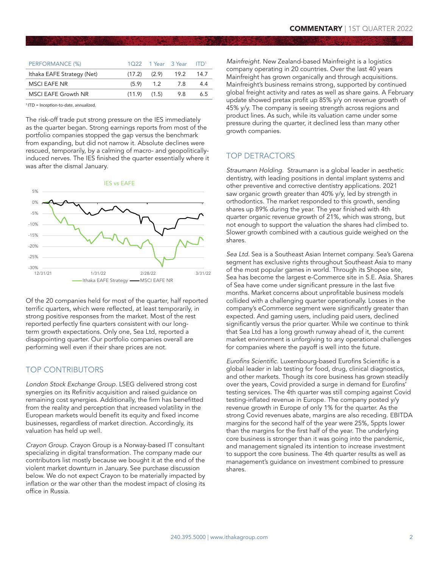| PERFORMANCE (%)            |                  |                  | $1022$ 1 Year 3 Year $IPD1$ |      |
|----------------------------|------------------|------------------|-----------------------------|------|
| Ithaka EAFE Strategy (Net) |                  | $(17.2)$ $(2.9)$ | 19.2                        | 14.7 |
| <b>MSCI EAFE NR</b>        |                  | $(5.9)$ 1.2      | 7.8                         | 4.4  |
| <b>MSCI EAFE Growth NR</b> | $(11.9)$ $(1.5)$ |                  | 9.8                         | 6.5  |

 $1$  ITD = Inception-to-date, annualized

The risk-off trade put strong pressure on the IES immediately as the quarter began. Strong earnings reports from most of the portfolio companies stopped the gap versus the benchmark from expanding, but did not narrow it. Absolute declines were rescued, temporarily, by a calming of macro- and geopoliticallyinduced nerves. The IES finished the quarter essentially where it was after the dismal January.





Of the 20 companies held for most of the quarter, half reported terrific quarters, which were reflected, at least temporarily, in strong positive responses from the market. Most of the rest reported perfectly fine quarters consistent with our longterm growth expectations. Only one, Sea Ltd, reported a disappointing quarter. Our portfolio companies overall are performing well even if their share prices are not.

### TOP CONTRIBUTORS

London Stock Exchange Group. LSEG delivered strong cost synergies on its Refinitiv acquisition and raised guidance on remaining cost synergies. Additionally, the firm has benefitted from the reality and perception that increased volatility in the European markets would benefit its equity and fixed income businesses, regardless of market direction. Accordingly, its valuation has held up well.

Crayon Group. Crayon Group is a Norway-based IT consultant specializing in digital transformation. The company made our contributors list mostly because we bought it at the end of the violent market downturn in January. See purchase discussion below. We do not expect Crayon to be materially impacted by inflation or the war other than the modest impact of closing its office in Russia.

Mainfreight. New Zealand-based Mainfreight is a logistics company operating in 20 countries. Over the last 40 years Mainfreight has grown organically and through acquisitions. Mainfreight's business remains strong, supported by continued global freight activity and rates as well as share gains. A February update showed pretax profit up 85% y/y on revenue growth of 45% y/y. The company is seeing strength across regions and product lines. As such, while its valuation came under some pressure during the quarter, it declined less than many other growth companies.

## TOP DETRACTORS

Straumann Holding. Straumann is a global leader in aesthetic dentistry, with leading positions in dental implant systems and other preventive and corrective dentistry applications. 2021 saw organic growth greater than 40% y/y, led by strength in orthodontics. The market responded to this growth, sending shares up 89% during the year. The year finished with 4th quarter organic revenue growth of 21%, which was strong, but not enough to support the valuation the shares had climbed to. Slower growth combined with a cautious guide weighed on the shares.

Sea Ltd. Sea is a Southeast Asian Internet company. Sea's Garena segment has exclusive rights throughout Southeast Asia to many of the most popular games in world. Through its Shopee site, Sea has become the largest e-Commerce site in S.E. Asia. Shares of Sea have come under significant pressure in the last five months. Market concerns about unprofitable business models collided with a challenging quarter operationally. Losses in the company's eCommerce segment were significantly greater than expected. And gaming users, including paid users, declined significantly versus the prior quarter. While we continue to think that Sea Ltd has a long growth runway ahead of it, the current market environment is unforgiving to any operational challenges for companies where the payoff is well into the future.

Eurofins Scientific. Luxembourg-based Eurofins Scientific is a global leader in lab testing for food, drug, clinical diagnostics, and other markets. Though its core business has grown steadily over the years, Covid provided a surge in demand for Eurofins' testing services. The 4th quarter was still comping against Covid testing-inflated revenue in Europe. The company posted y/y revenue growth in Europe of only 1% for the quarter. As the strong Covid revenues abate, margins are also receding. EBITDA margins for the second half of the year were 25%, 5ppts lower than the margins for the first half of the year. The underlying core business is stronger than it was going into the pandemic, and management signaled its intention to increase investment to support the core business. The 4th quarter results as well as management's guidance on investment combined to pressure shares.